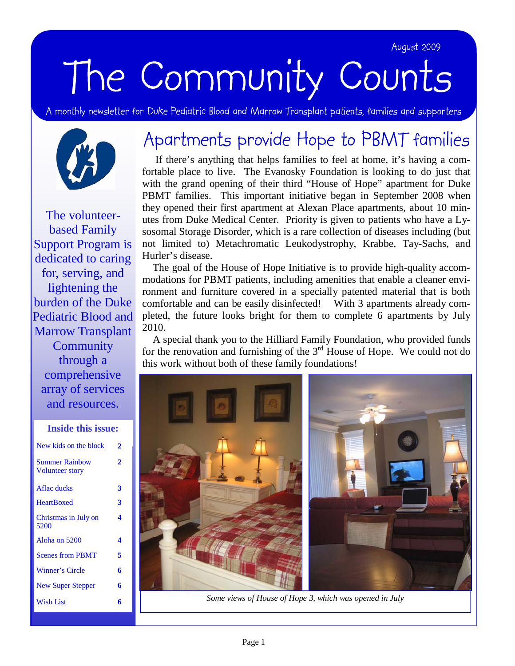### August 2009 August 2009

# The Community Counts

A monthly newsletter for Duke Pediatric Blood and Marrow Transplant patients, families and supporters



The volunteerbased Family Support Program is dedicated to caring for, serving, and lightening the burden of the Duke Pediatric Blood and Marrow Transplant **Community** through a comprehensive array of services and resources.

| <b>Inside this issue:</b>                       |   |
|-------------------------------------------------|---|
| New kids on the block                           | 2 |
| <b>Summer Rainbow</b><br><b>Volunteer story</b> | 2 |
| Aflac ducks                                     | 3 |
| <b>HeartBoxed</b>                               | 3 |
| Christmas in July on<br>5200                    | 4 |
| Aloha on 5200                                   | 4 |
| <b>Scenes from PBMT</b>                         | 5 |
| Winner's Circle                                 | 6 |
| New Super Stepper                               | 6 |
| Wish List                                       | 6 |

# Apartments provide Hope to PBMT families

 If there's anything that helps families to feel at home, it's having a comfortable place to live. The Evanosky Foundation is looking to do just that with the grand opening of their third "House of Hope" apartment for Duke PBMT families. This important initiative began in September 2008 when they opened their first apartment at Alexan Place apartments, about 10 minutes from Duke Medical Center. Priority is given to patients who have a Lysosomal Storage Disorder, which is a rare collection of diseases including (but not limited to) Metachromatic Leukodystrophy, Krabbe, Tay-Sachs, and Hurler's disease.

 The goal of the House of Hope Initiative is to provide high-quality accommodations for PBMT patients, including amenities that enable a cleaner environment and furniture covered in a specially patented material that is both comfortable and can be easily disinfected! With 3 apartments already completed, the future looks bright for them to complete 6 apartments by July 2010.

 A special thank you to the Hilliard Family Foundation, who provided funds for the renovation and furnishing of the  $3<sup>rd</sup>$  House of Hope. We could not do this work without both of these family foundations!



*Some views of House of Hope 3, which was opened in July*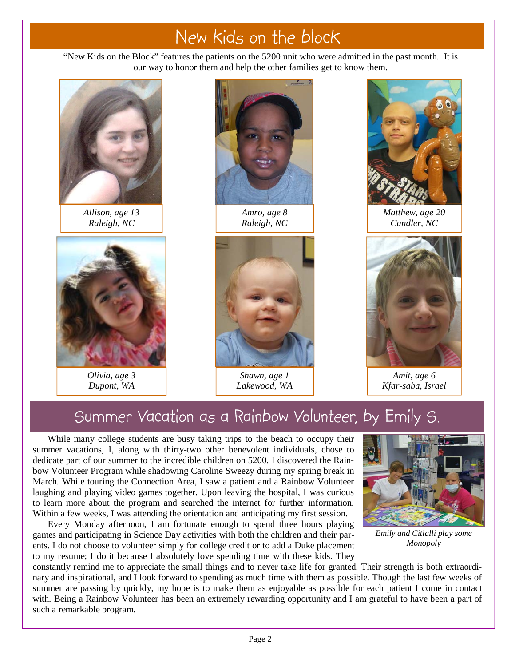# New kids on the block

"New Kids on the Block" features the patients on the 5200 unit who were admitted in the past month. It is our way to honor them and help the other families get to know them.



*Allison, age 13 Raleigh, NC* 



*Olivia, age 3 Dupont, WA* 



*Amro, age 8 Raleigh, NC* 



*Shawn, age 1 Lakewood, WA* 



*Matthew, age 20 Candler, NC* 



*Amit, age 6 Kfar-saba, Israel* 

### Summer Vacation as a Rainbow Volunteer, by Emily S.

While many college students are busy taking trips to the beach to occupy their summer vacations, I, along with thirty-two other benevolent individuals, chose to dedicate part of our summer to the incredible children on 5200. I discovered the Rainbow Volunteer Program while shadowing Caroline Sweezy during my spring break in March. While touring the Connection Area, I saw a patient and a Rainbow Volunteer laughing and playing video games together. Upon leaving the hospital, I was curious to learn more about the program and searched the internet for further information. Within a few weeks, I was attending the orientation and anticipating my first session.

Every Monday afternoon, I am fortunate enough to spend three hours playing games and participating in Science Day activities with both the children and their parents. I do not choose to volunteer simply for college credit or to add a Duke placement to my resume; I do it because I absolutely love spending time with these kids. They



*Emily and Citlalli play some Monopoly* 

constantly remind me to appreciate the small things and to never take life for granted. Their strength is both extraordinary and inspirational, and I look forward to spending as much time with them as possible. Though the last few weeks of summer are passing by quickly, my hope is to make them as enjoyable as possible for each patient I come in contact with. Being a Rainbow Volunteer has been an extremely rewarding opportunity and I am grateful to have been a part of such a remarkable program.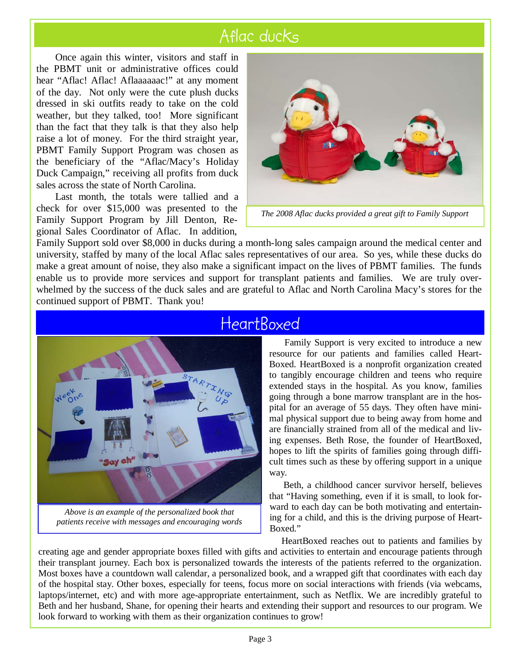# Aflac ducks

 the PBMT unit or administrative offices could hear "Aflac! Aflac! Aflaaaaaac!" at any moment Once again this winter, visitors and staff in of the day. Not only were the cute plush ducks dressed in ski outfits ready to take on the cold weather, but they talked, too! More significant than the fact that they talk is that they also help raise a lot of money. For the third straight year, PBMT Family Support Program was chosen as the beneficiary of the "Aflac/Macy's Holiday Duck Campaign," receiving all profits from duck sales across the state of North Carolina.

Last month, the totals were tallied and a check for over \$15,000 was presented to the Family Support Program by Jill Denton, Regional Sales Coordinator of Aflac. In addition,



Family Support sold over \$8,000 in ducks during a month-long sales campaign around the medical center and university, staffed by many of the local Aflac sales representatives of our area. So yes, while these ducks do make a great amount of noise, they also make a significant impact on the lives of PBMT families. The funds enable us to provide more services and support for transplant patients and families. We are truly overwhelmed by the success of the duck sales and are grateful to Aflac and North Carolina Macy's stores for the continued support of PBMT. Thank you!



*Above is an example of the personalized book that patients receive with messages and encouraging words* 

### **HeartBoxed**

Family Support is very excited to introduce a new resource for our patients and families called Heart-Boxed. HeartBoxed is a nonprofit organization created to tangibly encourage children and teens who require extended stays in the hospital. As you know, families going through a bone marrow transplant are in the hospital for an average of 55 days. They often have minimal physical support due to being away from home and are financially strained from all of the medical and living expenses. Beth Rose, the founder of HeartBoxed, hopes to lift the spirits of families going through difficult times such as these by offering support in a unique way.

 Beth, a childhood cancer survivor herself, believes that "Having something, even if it is small, to look forward to each day can be both motivating and entertaining for a child, and this is the driving purpose of Heart-Boxed."

 HeartBoxed reaches out to patients and families by creating age and gender appropriate boxes filled with gifts and activities to entertain and encourage patients through their transplant journey. Each box is personalized towards the interests of the patients referred to the organization. Most boxes have a countdown wall calendar, a personalized book, and a wrapped gift that coordinates with each day of the hospital stay. Other boxes, especially for teens, focus more on social interactions with friends (via webcams, laptops/internet, etc) and with more age-appropriate entertainment, such as Netflix. We are incredibly grateful to Beth and her husband, Shane, for opening their hearts and extending their support and resources to our program. We look forward to working with them as their organization continues to grow!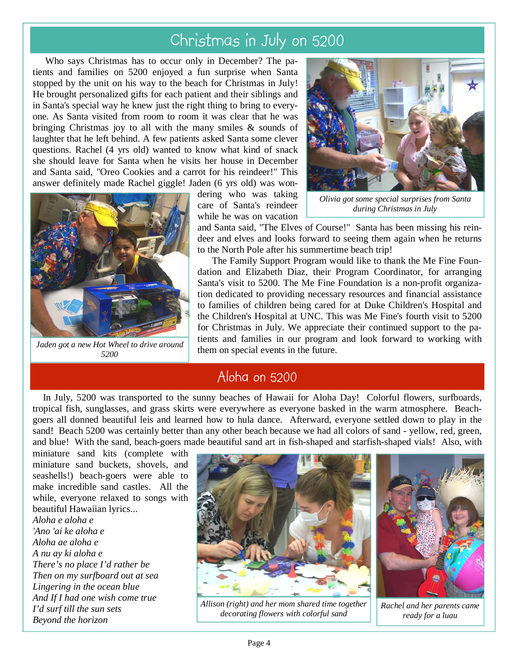## Christmas in July on 5200

 Who says Christmas has to occur only in December? The patients and families on 5200 enjoyed a fun surprise when Santa stopped by the unit on his way to the beach for Christmas in July! He brought personalized gifts for each patient and their siblings and in Santa's special way he knew just the right thing to bring to everyone. As Santa visited from room to room it was clear that he was bringing Christmas joy to all with the many smiles  $\&$  sounds of laughter that he left behind. A few patients asked Santa some clever questions. Rachel (4 yrs old) wanted to know what kind of snack she should leave for Santa when he visits her house in December and Santa said, "Oreo Cookies and a carrot for his reindeer!" This answer definitely made Rachel giggle! Jaden (6 yrs old) was won-



*Jaden got a new Hot Wheel to drive around 5200* 

dering who was taking care of Santa's reindeer while he was on vacation



*Olivia got some special surprises from Santa during Christmas in July* 

and Santa said, "The Elves of Course!" Santa has been missing his reindeer and elves and looks forward to seeing them again when he returns to the North Pole after his summertime beach trip!

 The Family Support Program would like to thank the Me Fine Foundation and Elizabeth Diaz, their Program Coordinator, for arranging Santa's visit to 5200. The Me Fine Foundation is a non-profit organization dedicated to providing necessary resources and financial assistance to families of children being cared for at Duke Children's Hospital and the Children's Hospital at UNC. This was Me Fine's fourth visit to 5200 for Christmas in July. We appreciate their continued support to the patients and families in our program and look forward to working with them on special events in the future.

### Aloha on 5200

 In July, 5200 was transported to the sunny beaches of Hawaii for Aloha Day! Colorful flowers, surfboards, tropical fish, sunglasses, and grass skirts were everywhere as everyone basked in the warm atmosphere. Beachgoers all donned beautiful leis and learned how to hula dance. Afterward, everyone settled down to play in the sand! Beach 5200 was certainly better than any other beach because we had all colors of sand - yellow, red, green, and blue! With the sand, beach-goers made beautiful sand art in fish-shaped and starfish-shaped vials! Also, with

miniature sand kits (complete with miniature sand buckets, shovels, and seashells!) beach-goers were able to make incredible sand castles. All the while, everyone relaxed to songs with beautiful Hawaiian lyrics...

*Aloha e aloha e 'Ano 'ai ke aloha e Aloha ae aloha e A nu ay ki aloha e There's no place I'd rather be Then on my surfboard out at sea Lingering in the ocean blue And If I had one wish come true I'd surf till the sun sets Beyond the horizon* 



*Allison (right) and her mom shared time together decorating flowers with colorful sand* 



*Rachel and her parents came ready for a luau*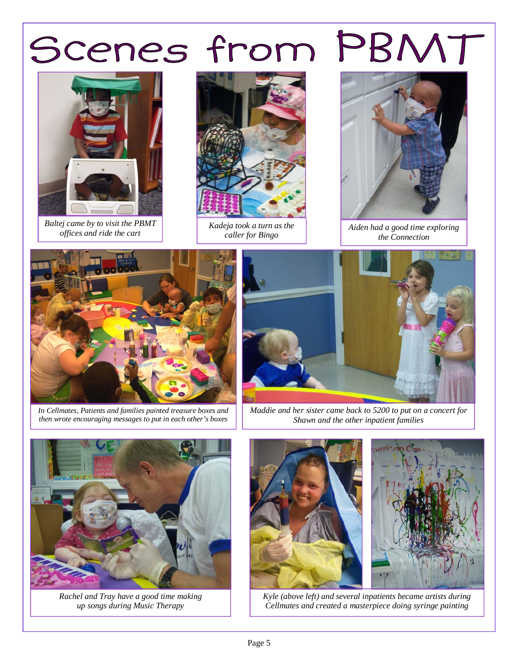

*Baltej came by to visit the PBMT offices and ride the cart* 



*Kadeja took a turn as the caller for Bingo* 



*Aiden had a good time exploring the Connection* 



*In Cellmates, Patients and families painted treasure boxes and then wrote encouraging messages to put in each other's boxes* 



*Maddie and her sister came back to 5200 to put on a concert for Shawn and the other inpatient families* 



*Rachel and Tray have a good time making up songs during Music Therapy* 





*Kyle (above left) and several inpatients became artists during Cellmates and created a masterpiece doing syringe painting*